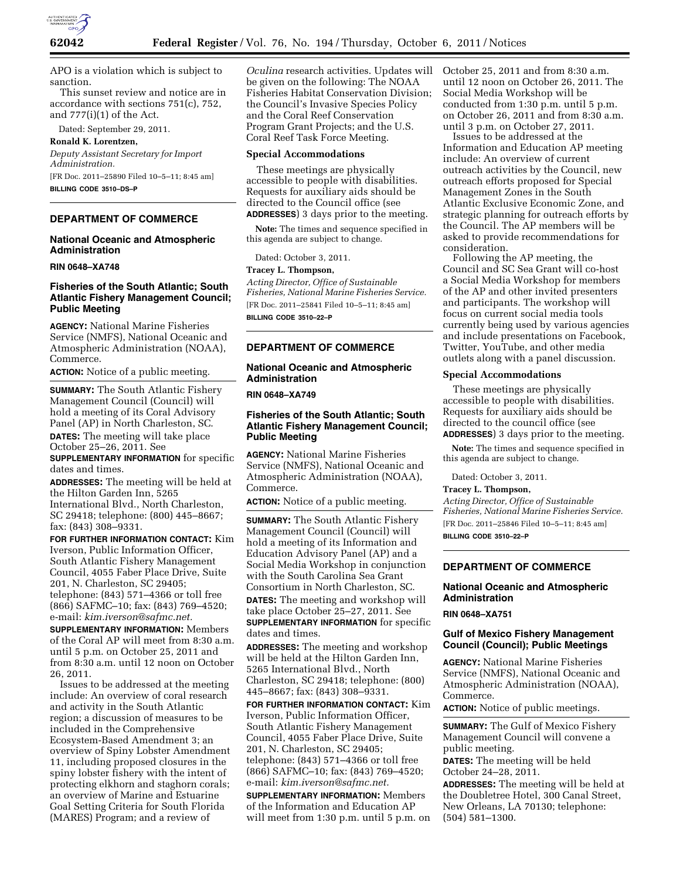

APO is a violation which is subject to sanction.

This sunset review and notice are in accordance with sections 751(c), 752, and 777(i)(1) of the Act.

Dated: September 29, 2011.

**Ronald K. Lorentzen,**  *Deputy Assistant Secretary for Import Administration.*  [FR Doc. 2011–25890 Filed 10–5–11; 8:45 am]

**BILLING CODE 3510–DS–P** 

# **DEPARTMENT OF COMMERCE**

# **National Oceanic and Atmospheric Administration**

**RIN 0648–XA748** 

# **Fisheries of the South Atlantic; South Atlantic Fishery Management Council; Public Meeting**

**AGENCY:** National Marine Fisheries Service (NMFS), National Oceanic and Atmospheric Administration (NOAA), Commerce.

**ACTION:** Notice of a public meeting.

**SUMMARY:** The South Atlantic Fishery Management Council (Council) will hold a meeting of its Coral Advisory Panel (AP) in North Charleston, SC.

**DATES:** The meeting will take place

October 25–26, 2011. See **SUPPLEMENTARY INFORMATION** for specific dates and times.

**ADDRESSES:** The meeting will be held at the Hilton Garden Inn, 5265 International Blvd., North Charleston, SC 29418; telephone: (800) 445–8667; fax: (843) 308–9331.

**FOR FURTHER INFORMATION CONTACT:** Kim Iverson, Public Information Officer, South Atlantic Fishery Management Council, 4055 Faber Place Drive, Suite 201, N. Charleston, SC 29405; telephone: (843) 571–4366 or toll free (866) SAFMC–10; fax: (843) 769–4520; e-mail: *[kim.iverson@safmc.net.](mailto:kim.iverson@safmc.net)* 

**SUPPLEMENTARY INFORMATION:** Members of the Coral AP will meet from 8:30 a.m. until 5 p.m. on October 25, 2011 and from 8:30 a.m. until 12 noon on October 26, 2011.

Issues to be addressed at the meeting include: An overview of coral research and activity in the South Atlantic region; a discussion of measures to be included in the Comprehensive Ecosystem-Based Amendment 3; an overview of Spiny Lobster Amendment 11, including proposed closures in the spiny lobster fishery with the intent of protecting elkhorn and staghorn corals; an overview of Marine and Estuarine Goal Setting Criteria for South Florida (MARES) Program; and a review of

*Oculina* research activities. Updates will be given on the following: The NOAA Fisheries Habitat Conservation Division; the Council's Invasive Species Policy and the Coral Reef Conservation Program Grant Projects; and the U.S. Coral Reef Task Force Meeting.

### **Special Accommodations**

These meetings are physically accessible to people with disabilities. Requests for auxiliary aids should be directed to the Council office (see **ADDRESSES**) 3 days prior to the meeting.

**Note:** The times and sequence specified in this agenda are subject to change.

Dated: October 3, 2011.

## **Tracey L. Thompson,**

*Acting Director, Office of Sustainable Fisheries, National Marine Fisheries Service.*  [FR Doc. 2011–25841 Filed 10–5–11; 8:45 am] **BILLING CODE 3510–22–P** 

# **DEPARTMENT OF COMMERCE**

# **National Oceanic and Atmospheric Administration**

### **RIN 0648–XA749**

# **Fisheries of the South Atlantic; South Atlantic Fishery Management Council; Public Meeting**

**AGENCY:** National Marine Fisheries Service (NMFS), National Oceanic and Atmospheric Administration (NOAA), Commerce.

**ACTION:** Notice of a public meeting.

**SUMMARY:** The South Atlantic Fishery Management Council (Council) will hold a meeting of its Information and Education Advisory Panel (AP) and a Social Media Workshop in conjunction with the South Carolina Sea Grant Consortium in North Charleston, SC. **DATES:** The meeting and workshop will take place October 25–27, 2011. See **SUPPLEMENTARY INFORMATION** for specific dates and times.

**ADDRESSES:** The meeting and workshop will be held at the Hilton Garden Inn, 5265 International Blvd., North Charleston, SC 29418; telephone: (800) 445–8667; fax: (843) 308–9331.

**FOR FURTHER INFORMATION CONTACT:** Kim Iverson, Public Information Officer, South Atlantic Fishery Management Council, 4055 Faber Place Drive, Suite 201, N. Charleston, SC 29405; telephone: (843) 571–4366 or toll free (866) SAFMC–10; fax: (843) 769–4520; e-mail: *[kim.iverson@safmc.net.](mailto:kim.iverson@safmc.net)* 

**SUPPLEMENTARY INFORMATION:** Members of the Information and Education AP will meet from 1:30 p.m. until 5 p.m. on October 25, 2011 and from 8:30 a.m. until 12 noon on October 26, 2011. The Social Media Workshop will be conducted from 1:30 p.m. until 5 p.m. on October 26, 2011 and from 8:30 a.m. until 3 p.m. on October 27, 2011.

Issues to be addressed at the Information and Education AP meeting include: An overview of current outreach activities by the Council, new outreach efforts proposed for Special Management Zones in the South Atlantic Exclusive Economic Zone, and strategic planning for outreach efforts by the Council. The AP members will be asked to provide recommendations for consideration.

Following the AP meeting, the Council and SC Sea Grant will co-host a Social Media Workshop for members of the AP and other invited presenters and participants. The workshop will focus on current social media tools currently being used by various agencies and include presentations on Facebook, Twitter, YouTube, and other media outlets along with a panel discussion.

# **Special Accommodations**

These meetings are physically accessible to people with disabilities. Requests for auxiliary aids should be directed to the council office (see **ADDRESSES**) 3 days prior to the meeting.

**Note:** The times and sequence specified in this agenda are subject to change.

Dated: October 3, 2011.

# **Tracey L. Thompson,**

*Acting Director, Office of Sustainable Fisheries, National Marine Fisheries Service.*  [FR Doc. 2011–25846 Filed 10–5–11; 8:45 am] **BILLING CODE 3510–22–P** 

# **DEPARTMENT OF COMMERCE**

# **National Oceanic and Atmospheric Administration**

### **RIN 0648–XA751**

# **Gulf of Mexico Fishery Management Council (Council); Public Meetings**

**AGENCY:** National Marine Fisheries Service (NMFS), National Oceanic and Atmospheric Administration (NOAA), Commerce.

**ACTION:** Notice of public meetings.

**SUMMARY:** The Gulf of Mexico Fishery Management Council will convene a public meeting.

**DATES:** The meeting will be held October 24–28, 2011.

**ADDRESSES:** The meeting will be held at the Doubletree Hotel, 300 Canal Street, New Orleans, LA 70130; telephone: (504) 581–1300.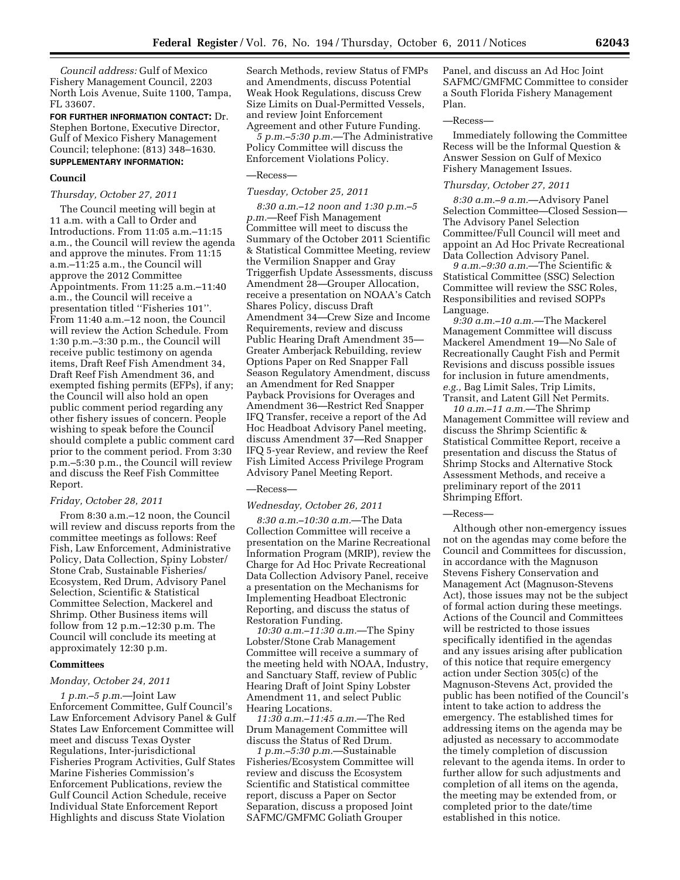*Council address:* Gulf of Mexico Fishery Management Council, 2203 North Lois Avenue, Suite 1100, Tampa, FL 33607.

**FOR FURTHER INFORMATION CONTACT:** Dr. Stephen Bortone, Executive Director, Gulf of Mexico Fishery Management Council; telephone: (813) 348–1630. **SUPPLEMENTARY INFORMATION:** 

### **Council**

### *Thursday, October 27, 2011*

The Council meeting will begin at 11 a.m. with a Call to Order and Introductions. From 11:05 a.m.–11:15 a.m., the Council will review the agenda and approve the minutes. From 11:15 a.m.–11:25 a.m., the Council will approve the 2012 Committee Appointments. From 11:25 a.m.–11:40 a.m., the Council will receive a presentation titled ''Fisheries 101''. From 11:40 a.m.–12 noon, the Council will review the Action Schedule. From 1:30 p.m.–3:30 p.m., the Council will receive public testimony on agenda items, Draft Reef Fish Amendment 34, Draft Reef Fish Amendment 36, and exempted fishing permits (EFPs), if any; the Council will also hold an open public comment period regarding any other fishery issues of concern. People wishing to speak before the Council should complete a public comment card prior to the comment period. From 3:30 p.m.–5:30 p.m., the Council will review and discuss the Reef Fish Committee Report.

### *Friday, October 28, 2011*

From 8:30 a.m.–12 noon, the Council will review and discuss reports from the committee meetings as follows: Reef Fish, Law Enforcement, Administrative Policy, Data Collection, Spiny Lobster/ Stone Crab, Sustainable Fisheries/ Ecosystem, Red Drum, Advisory Panel Selection, Scientific & Statistical Committee Selection, Mackerel and Shrimp. Other Business items will follow from 12 p.m.–12:30 p.m. The Council will conclude its meeting at approximately 12:30 p.m.

### **Committees**

#### *Monday, October 24, 2011*

*1 p.m.–5 p.m.*—Joint Law Enforcement Committee, Gulf Council's Law Enforcement Advisory Panel & Gulf States Law Enforcement Committee will meet and discuss Texas Oyster Regulations, Inter-jurisdictional Fisheries Program Activities, Gulf States Marine Fisheries Commission's Enforcement Publications, review the Gulf Council Action Schedule, receive Individual State Enforcement Report Highlights and discuss State Violation

Search Methods, review Status of FMPs and Amendments, discuss Potential Weak Hook Regulations, discuss Crew Size Limits on Dual-Permitted Vessels, and review Joint Enforcement Agreement and other Future Funding.

*5 p.m.–5:30 p.m.*—The Administrative Policy Committee will discuss the Enforcement Violations Policy.

### —Recess—

#### *Tuesday, October 25, 2011*

*8:30 a.m.–12 noon and 1:30 p.m.–5 p.m.*—Reef Fish Management Committee will meet to discuss the Summary of the October 2011 Scientific & Statistical Committee Meeting, review the Vermilion Snapper and Gray Triggerfish Update Assessments, discuss Amendment 28—Grouper Allocation, receive a presentation on NOAA's Catch Shares Policy, discuss Draft Amendment 34—Crew Size and Income Requirements, review and discuss Public Hearing Draft Amendment 35— Greater Amberjack Rebuilding, review Options Paper on Red Snapper Fall Season Regulatory Amendment, discuss an Amendment for Red Snapper Payback Provisions for Overages and Amendment 36—Restrict Red Snapper IFQ Transfer, receive a report of the Ad Hoc Headboat Advisory Panel meeting, discuss Amendment 37—Red Snapper IFQ 5-year Review, and review the Reef Fish Limited Access Privilege Program Advisory Panel Meeting Report.

#### —Recess—

#### *Wednesday, October 26, 2011*

*8:30 a.m.–10:30 a.m.*—The Data Collection Committee will receive a presentation on the Marine Recreational Information Program (MRIP), review the Charge for Ad Hoc Private Recreational Data Collection Advisory Panel, receive a presentation on the Mechanisms for Implementing Headboat Electronic Reporting, and discuss the status of Restoration Funding.

*10:30 a.m.–11:30 a.m.*—The Spiny Lobster/Stone Crab Management Committee will receive a summary of the meeting held with NOAA, Industry, and Sanctuary Staff, review of Public Hearing Draft of Joint Spiny Lobster Amendment 11, and select Public Hearing Locations.

*11:30 a.m.–11:45 a.m.*—The Red Drum Management Committee will discuss the Status of Red Drum.

*1 p.m.–5:30 p.m.*—Sustainable Fisheries/Ecosystem Committee will review and discuss the Ecosystem Scientific and Statistical committee report, discuss a Paper on Sector Separation, discuss a proposed Joint SAFMC/GMFMC Goliath Grouper

Panel, and discuss an Ad Hoc Joint SAFMC/GMFMC Committee to consider a South Florida Fishery Management Plan.

## —Recess—

Immediately following the Committee Recess will be the Informal Question & Answer Session on Gulf of Mexico Fishery Management Issues.

#### *Thursday, October 27, 2011*

*8:30 a.m.–9 a.m.*—Advisory Panel Selection Committee—Closed Session— The Advisory Panel Selection Committee/Full Council will meet and appoint an Ad Hoc Private Recreational Data Collection Advisory Panel.

*9 a.m.–9:30 a.m.*—The Scientific & Statistical Committee (SSC) Selection Committee will review the SSC Roles, Responsibilities and revised SOPPs Language.

*9:30 a.m.–10 a.m.*—The Mackerel Management Committee will discuss Mackerel Amendment 19—No Sale of Recreationally Caught Fish and Permit Revisions and discuss possible issues for inclusion in future amendments, *e.g.,* Bag Limit Sales, Trip Limits, Transit, and Latent Gill Net Permits.

*10 a.m.–11 a.m.*—The Shrimp Management Committee will review and discuss the Shrimp Scientific & Statistical Committee Report, receive a presentation and discuss the Status of Shrimp Stocks and Alternative Stock Assessment Methods, and receive a preliminary report of the 2011 Shrimping Effort.

# —Recess—

Although other non-emergency issues not on the agendas may come before the Council and Committees for discussion, in accordance with the Magnuson Stevens Fishery Conservation and Management Act (Magnuson-Stevens Act), those issues may not be the subject of formal action during these meetings. Actions of the Council and Committees will be restricted to those issues specifically identified in the agendas and any issues arising after publication of this notice that require emergency action under Section 305(c) of the Magnuson-Stevens Act, provided the public has been notified of the Council's intent to take action to address the emergency. The established times for addressing items on the agenda may be adjusted as necessary to accommodate the timely completion of discussion relevant to the agenda items. In order to further allow for such adjustments and completion of all items on the agenda, the meeting may be extended from, or completed prior to the date/time established in this notice.